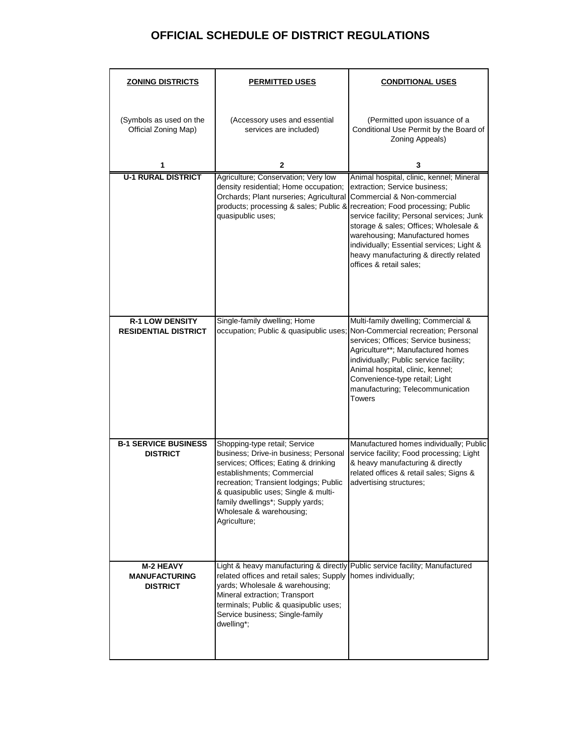## **OFFICIAL SCHEDULE OF DISTRICT REGULATIONS**

| <b>ZONING DISTRICTS</b>                                     | <b>PERMITTED USES</b>                                                                                                                                                                                                                                                                                         | <b>CONDITIONAL USES</b>                                                                                                                                                                                                                                                                                                                                                                    |  |  |
|-------------------------------------------------------------|---------------------------------------------------------------------------------------------------------------------------------------------------------------------------------------------------------------------------------------------------------------------------------------------------------------|--------------------------------------------------------------------------------------------------------------------------------------------------------------------------------------------------------------------------------------------------------------------------------------------------------------------------------------------------------------------------------------------|--|--|
| (Symbols as used on the<br>Official Zoning Map)             | (Accessory uses and essential<br>services are included)                                                                                                                                                                                                                                                       | (Permitted upon issuance of a<br>Conditional Use Permit by the Board of<br>Zoning Appeals)                                                                                                                                                                                                                                                                                                 |  |  |
| 1                                                           | 2                                                                                                                                                                                                                                                                                                             | 3                                                                                                                                                                                                                                                                                                                                                                                          |  |  |
| <b>U-1 RURAL DISTRICT</b>                                   | Agriculture; Conservation; Very low<br>density residential; Home occupation;<br>Orchards; Plant nurseries; Agricultural<br>products; processing & sales; Public &<br>quasipublic uses;                                                                                                                        | Animal hospital, clinic, kennel; Mineral<br>extraction; Service business;<br>Commercial & Non-commercial<br>recreation; Food processing; Public<br>service facility; Personal services; Junk<br>storage & sales; Offices; Wholesale &<br>warehousing; Manufactured homes<br>individually; Essential services; Light &<br>heavy manufacturing & directly related<br>offices & retail sales: |  |  |
| <b>R-1 LOW DENSITY</b><br><b>RESIDENTIAL DISTRICT</b>       | Single-family dwelling; Home<br>occupation; Public & quasipublic uses;                                                                                                                                                                                                                                        | Multi-family dwelling; Commercial &<br>Non-Commercial recreation; Personal<br>services; Offices; Service business;<br>Agriculture**; Manufactured homes<br>individually; Public service facility;<br>Animal hospital, clinic, kennel;<br>Convenience-type retail; Light<br>manufacturing; Telecommunication<br><b>Towers</b>                                                               |  |  |
| <b>B-1 SERVICE BUSINESS</b><br><b>DISTRICT</b>              | Shopping-type retail; Service<br>business; Drive-in business; Personal<br>services; Offices; Eating & drinking<br>establishments: Commercial<br>recreation; Transient lodgings; Public<br>& quasipublic uses: Single & multi-<br>family dwellings*; Supply yards;<br>Wholesale & warehousing;<br>Agriculture; | Manufactured homes individually; Public<br>service facility; Food processing; Light<br>& heavy manufacturing & directly<br>related offices & retail sales; Signs &<br>advertising structures;                                                                                                                                                                                              |  |  |
| <b>M-2 HEAVY</b><br><b>MANUFACTURING</b><br><b>DISTRICT</b> | Light & heavy manufacturing & directly<br>related offices and retail sales; Supply<br>yards; Wholesale & warehousing;<br>Mineral extraction; Transport<br>terminals; Public & quasipublic uses;<br>Service business; Single-family<br>dwelling*;                                                              | Public service facility; Manufactured<br>homes individually;                                                                                                                                                                                                                                                                                                                               |  |  |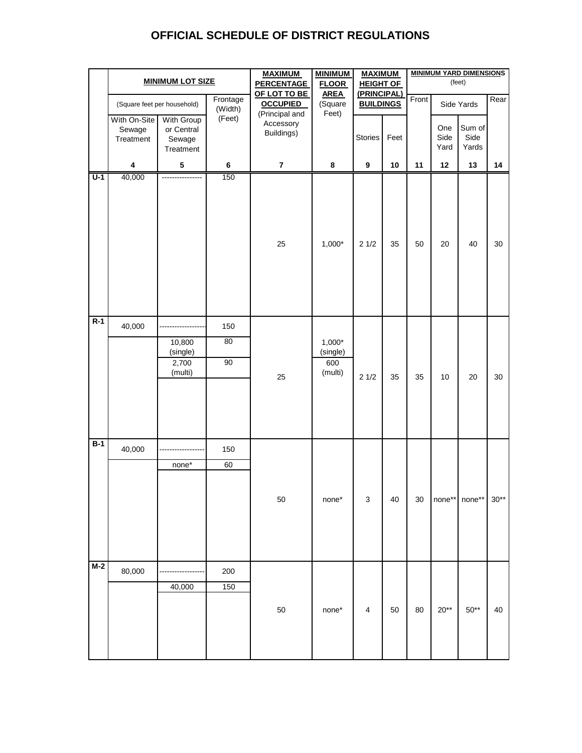## **OFFICIAL SCHEDULE OF DISTRICT REGULATIONS**

|                  | <b>MINIMUM LOT SIZE</b>                            |                                                 |                                 | <b>MAXIMUM</b><br><b>PERCENTAGE</b>       | <b>MINIMUM</b><br><b>FLOOR</b><br><b>AREA</b><br>(Square | <b>MAXIMUM</b><br><b>HEIGHT OF</b><br>(PRINCIPAL)<br><b>BUILDINGS</b> |        | <b>MINIMUM YARD DIMENSIONS</b><br>(feet) |                     |                         |        |
|------------------|----------------------------------------------------|-------------------------------------------------|---------------------------------|-------------------------------------------|----------------------------------------------------------|-----------------------------------------------------------------------|--------|------------------------------------------|---------------------|-------------------------|--------|
|                  | Frontage<br>(Square feet per household)<br>(Width) |                                                 | OF LOT TO BE<br><b>OCCUPIED</b> | Front                                     |                                                          |                                                                       |        | Side Yards                               |                     | Rear                    |        |
|                  | With On-Site<br>Sewage<br>Treatment                | With Group<br>or Central<br>Sewage<br>Treatment | (Feet)                          | (Principal and<br>Accessory<br>Buildings) | Feet)                                                    | Stories                                                               | Feet   |                                          | One<br>Side<br>Yard | Sum of<br>Side<br>Yards |        |
|                  | 4                                                  | ${\bf 5}$                                       | $\bf 6$                         | $\overline{\mathbf{r}}$                   | 8                                                        | $\boldsymbol{9}$                                                      | 10     | 11                                       | 12                  | 13                      | 14     |
| $\overline{U-1}$ | 40,000                                             | ----------------                                | 150                             | 25                                        | $1,000*$                                                 | 21/2                                                                  | 35     | 50                                       | 20                  | 40                      | 30     |
| $R-1$            | 40,000                                             | 10,800<br>(single)<br>2,700<br>(multi)          | 150<br>80<br>90                 | 25                                        | $1,000*$<br>(single)<br>600<br>(multi)                   | 21/2                                                                  | 35     | 35                                       | 10                  | 20                      | 30     |
| $B-1$            | 40,000                                             | none*                                           | 150<br>60                       | $50\,$                                    | $none*$                                                  | $\mathsf 3$                                                           | $40\,$ | 30                                       | $none**$            | $none**$                | $30**$ |
| $M-2$            | 80,000                                             | 40,000                                          | 200<br>150                      | 50                                        | $none*$                                                  | $\overline{\mathbf{4}}$                                               | 50     | 80                                       | $20**$              | $50**$                  | 40     |